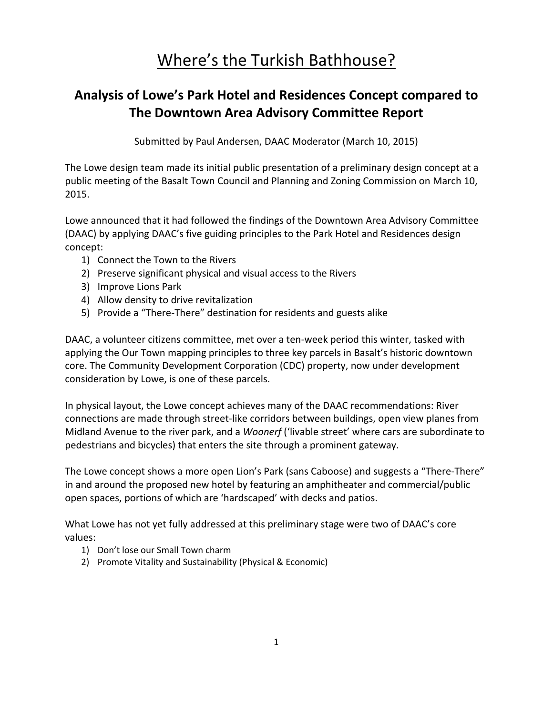# Where's the Turkish Bathhouse?

# **Analysis of Lowe's Park Hotel and Residences Concept compared to The Downtown Area Advisory Committee Report**

Submitted by Paul Andersen, DAAC Moderator (March 10, 2015)

The Lowe design team made its initial public presentation of a preliminary design concept at a public meeting of the Basalt Town Council and Planning and Zoning Commission on March 10, 2015.

Lowe announced that it had followed the findings of the Downtown Area Advisory Committee (DAAC) by applying DAAC's five guiding principles to the Park Hotel and Residences design concept:

- 1) Connect the Town to the Rivers
- 2) Preserve significant physical and visual access to the Rivers
- 3) Improve Lions Park
- 4) Allow density to drive revitalization
- 5) Provide a "There-There" destination for residents and guests alike

DAAC, a volunteer citizens committee, met over a ten‐week period this winter, tasked with applying the Our Town mapping principles to three key parcels in Basalt's historic downtown core. The Community Development Corporation (CDC) property, now under development consideration by Lowe, is one of these parcels.

In physical layout, the Lowe concept achieves many of the DAAC recommendations: River connections are made through street‐like corridors between buildings, open view planes from Midland Avenue to the river park, and a *Woonerf* ('livable street' where cars are subordinate to pedestrians and bicycles) that enters the site through a prominent gateway.

The Lowe concept shows a more open Lion's Park (sans Caboose) and suggests a "There-There" in and around the proposed new hotel by featuring an amphitheater and commercial/public open spaces, portions of which are 'hardscaped' with decks and patios.

What Lowe has not yet fully addressed at this preliminary stage were two of DAAC's core values:

- 1) Don't lose our Small Town charm
- 2) Promote Vitality and Sustainability (Physical & Economic)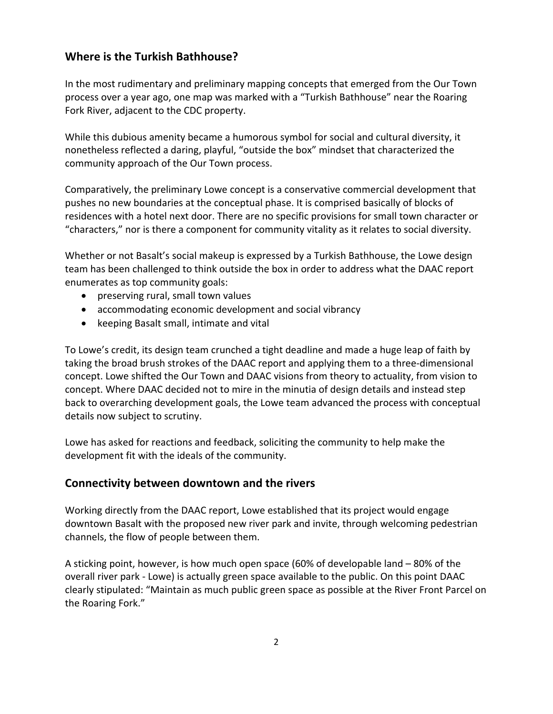#### **Where is the Turkish Bathhouse?**

In the most rudimentary and preliminary mapping concepts that emerged from the Our Town process over a year ago, one map was marked with a "Turkish Bathhouse" near the Roaring Fork River, adjacent to the CDC property.

While this dubious amenity became a humorous symbol for social and cultural diversity, it nonetheless reflected a daring, playful, "outside the box" mindset that characterized the community approach of the Our Town process.

Comparatively, the preliminary Lowe concept is a conservative commercial development that pushes no new boundaries at the conceptual phase. It is comprised basically of blocks of residences with a hotel next door. There are no specific provisions for small town character or "characters," nor is there a component for community vitality as it relates to social diversity.

Whether or not Basalt's social makeup is expressed by a Turkish Bathhouse, the Lowe design team has been challenged to think outside the box in order to address what the DAAC report enumerates as top community goals:

- preserving rural, small town values
- accommodating economic development and social vibrancy
- keeping Basalt small, intimate and vital

To Lowe's credit, its design team crunched a tight deadline and made a huge leap of faith by taking the broad brush strokes of the DAAC report and applying them to a three‐dimensional concept. Lowe shifted the Our Town and DAAC visions from theory to actuality, from vision to concept. Where DAAC decided not to mire in the minutia of design details and instead step back to overarching development goals, the Lowe team advanced the process with conceptual details now subject to scrutiny.

Lowe has asked for reactions and feedback, soliciting the community to help make the development fit with the ideals of the community.

#### **Connectivity between downtown and the rivers**

Working directly from the DAAC report, Lowe established that its project would engage downtown Basalt with the proposed new river park and invite, through welcoming pedestrian channels, the flow of people between them.

A sticking point, however, is how much open space (60% of developable land – 80% of the overall river park ‐ Lowe) is actually green space available to the public. On this point DAAC clearly stipulated: "Maintain as much public green space as possible at the River Front Parcel on the Roaring Fork."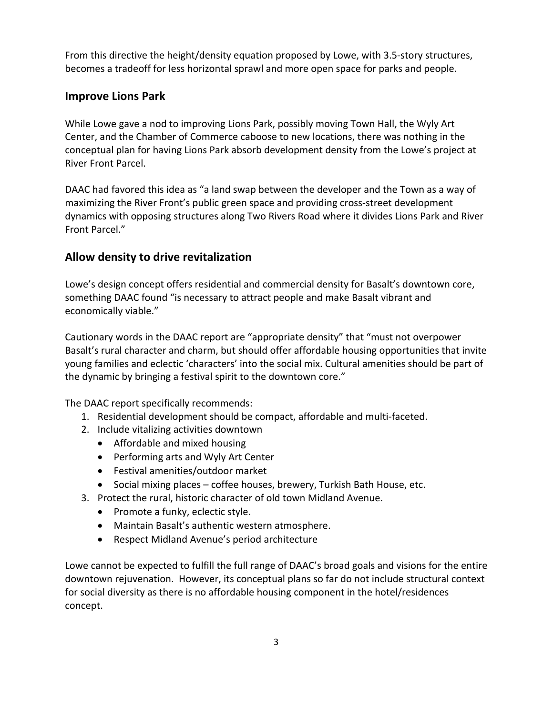From this directive the height/density equation proposed by Lowe, with 3.5‐story structures, becomes a tradeoff for less horizontal sprawl and more open space for parks and people.

### **Improve Lions Park**

While Lowe gave a nod to improving Lions Park, possibly moving Town Hall, the Wyly Art Center, and the Chamber of Commerce caboose to new locations, there was nothing in the conceptual plan for having Lions Park absorb development density from the Lowe's project at River Front Parcel.

DAAC had favored this idea as "a land swap between the developer and the Town as a way of maximizing the River Front's public green space and providing cross‐street development dynamics with opposing structures along Two Rivers Road where it divides Lions Park and River Front Parcel."

# **Allow density to drive revitalization**

Lowe's design concept offers residential and commercial density for Basalt's downtown core, something DAAC found "is necessary to attract people and make Basalt vibrant and economically viable."

Cautionary words in the DAAC report are "appropriate density" that "must not overpower Basalt's rural character and charm, but should offer affordable housing opportunities that invite young families and eclectic 'characters' into the social mix. Cultural amenities should be part of the dynamic by bringing a festival spirit to the downtown core."

The DAAC report specifically recommends:

- 1. Residential development should be compact, affordable and multi‐faceted.
- 2. Include vitalizing activities downtown
	- Affordable and mixed housing
	- Performing arts and Wyly Art Center
	- Festival amenities/outdoor market
	- Social mixing places coffee houses, brewery, Turkish Bath House, etc.
- 3. Protect the rural, historic character of old town Midland Avenue.
	- Promote a funky, eclectic style.
	- Maintain Basalt's authentic western atmosphere.
	- Respect Midland Avenue's period architecture

Lowe cannot be expected to fulfill the full range of DAAC's broad goals and visions for the entire downtown rejuvenation. However, its conceptual plans so far do not include structural context for social diversity as there is no affordable housing component in the hotel/residences concept.